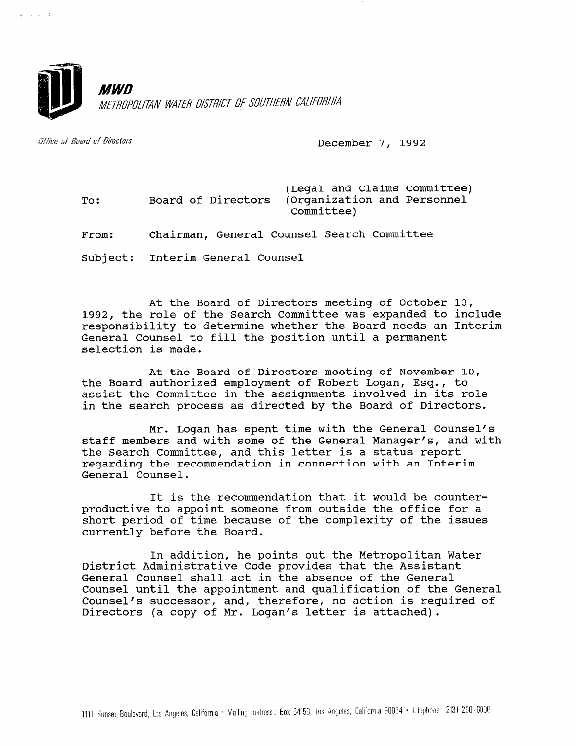

Office of Board of Directors

 $\lambda$ ,  $\lambda$ ,  $\lambda$ ,  $\lambda$ ,  $\lambda$ 

December 7, 1992

To: From: (Legal and Claims Committee) Board of Directors (Organization and Personnel Committee) Chairman, General Counsel Search Committee

Subject: Interim General Counsel

At the Board of Directors meeting of October 13, 1992, the role of the Search Committee was expanded to include responsibility to determine whether the Board needs an Interim General Counsel to fill the position until a permanent selection is made.

At the Board of Directors meeting of November 10, the Board authorized employment of Robert Logan, Esq., to assist the Committee in the assignments involved in its role in the search process as directed by the Board of Directors.

Mr. Logan has spent time with the General Counsel's staff members and with some of the General Manager's, and with the Search Committee, and this letter is a status report regarding the recommendation in connection with an Interim General Counsel.

It is the recommendation that it would be counterproductive to appoint someone from outside the office for a short period of time because of the complexity of the issues currently before the Board.

In addition, he points out the Metropolitan Water District Administrative Code provides that the Assistant General Counsel shall act in the absence of the General Counsel until the appointment and qualification of the General Counsel until the appointment and qualification of the General<br>Counsel's successor, and, therefore, no action is required of Counsel's successor, and, therefore, no action is required of Directors (a copy of Mr. Logan's letter is attached).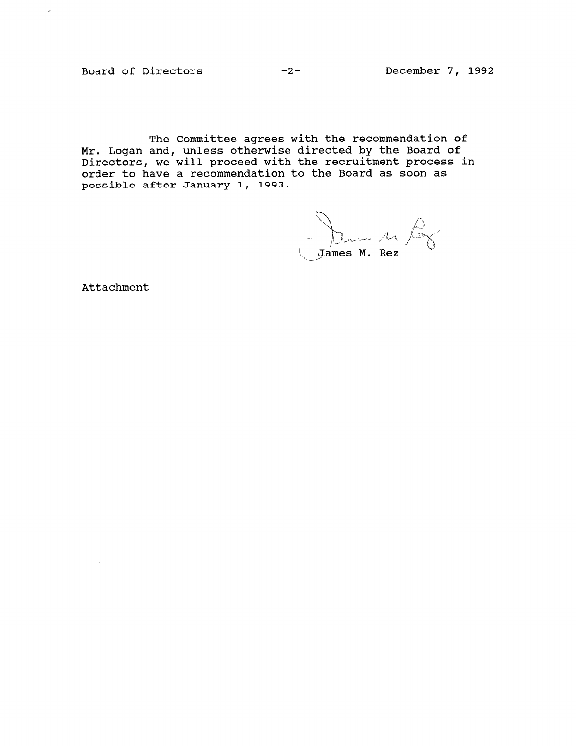Board of Directors -2- December 7, 1992

 $\mathcal{A}_1$  , and  $\mathcal{A}_2$  , and

The Committee agrees with the recommendation of Mr. Logan and, unless otherwise directed by the Board of Directors, we will proceed with the recruitment process in order to have a recommendation to the Board as soon as possible after January 1, 1993.

 $\bigcup$  James M. Rez

Attachment